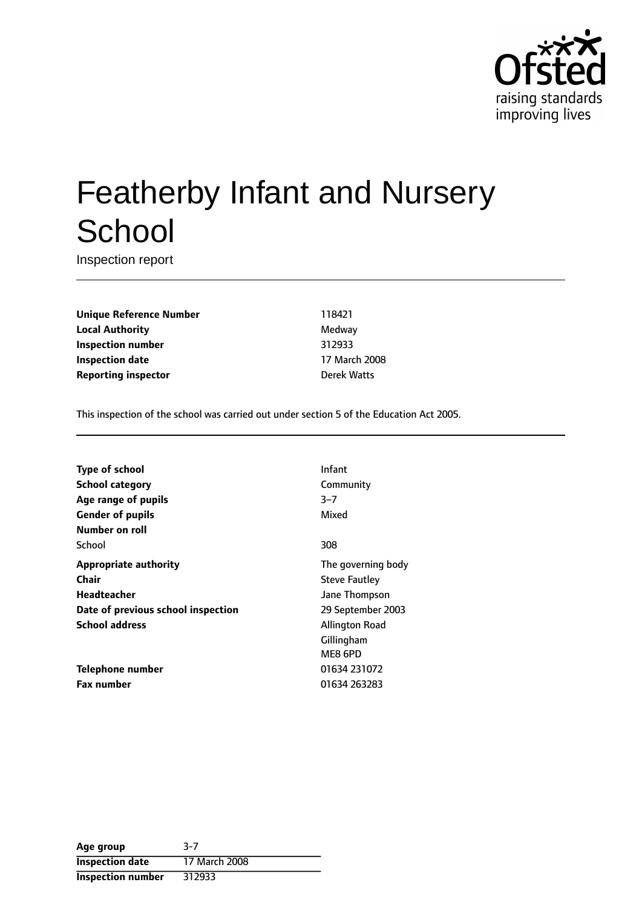

# Featherby Infant and Nursery **School**

Inspection report

**Unique Reference Number** 118421 **Local Authority** Medway **Inspection number** 312933 **Inspection date** 17 March 2008 **Reporting inspector Derek Watts** 

This inspection of the school was carried out under section 5 of the Education Act 2005.

| Type of school                     | Infant               |
|------------------------------------|----------------------|
| <b>School category</b>             | Community            |
| Age range of pupils                | $3 - 7$              |
| <b>Gender of pupils</b>            | Mixed                |
| Number on roll                     |                      |
| School                             | 308                  |
| <b>Appropriate authority</b>       | The governing body   |
| <b>Chair</b>                       | <b>Steve Fautley</b> |
| <b>Headteacher</b>                 | Jane Thompson        |
| Date of previous school inspection | 29 September 2003    |
| <b>School address</b>              | Allington Road       |
|                                    | Gillingham           |
|                                    | ME8 6PD              |
| Telephone number                   | 01634 231072         |
| <b>Fax number</b>                  | 01634 263283         |
|                                    |                      |

| Age group                | $3-7$         |
|--------------------------|---------------|
| <b>Inspection date</b>   | 17 March 2008 |
| <b>Inspection number</b> | 312933        |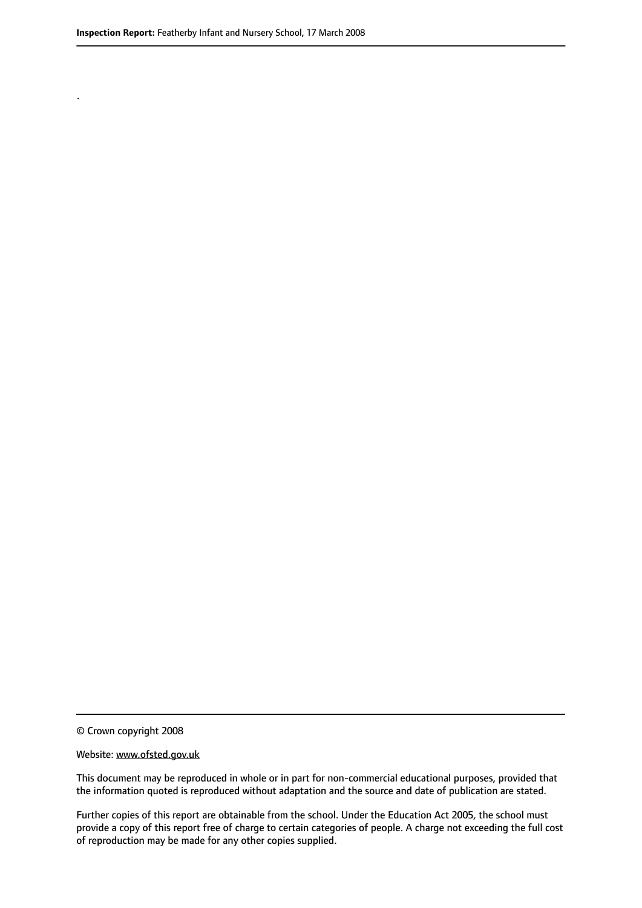.

© Crown copyright 2008

#### Website: www.ofsted.gov.uk

This document may be reproduced in whole or in part for non-commercial educational purposes, provided that the information quoted is reproduced without adaptation and the source and date of publication are stated.

Further copies of this report are obtainable from the school. Under the Education Act 2005, the school must provide a copy of this report free of charge to certain categories of people. A charge not exceeding the full cost of reproduction may be made for any other copies supplied.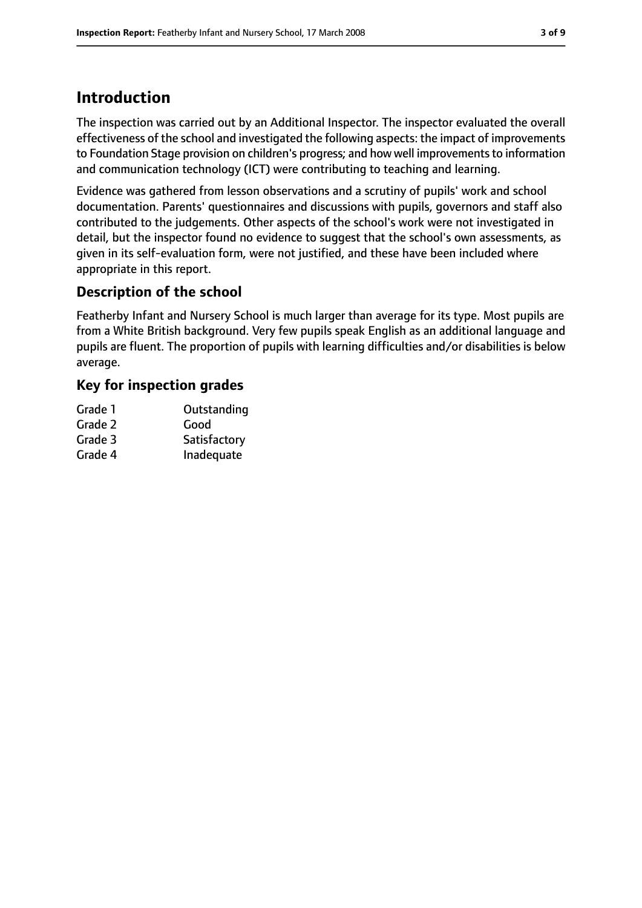# **Introduction**

The inspection was carried out by an Additional Inspector. The inspector evaluated the overall effectiveness of the school and investigated the following aspects: the impact of improvements to Foundation Stage provision on children's progress; and how well improvements to information and communication technology (ICT) were contributing to teaching and learning.

Evidence was gathered from lesson observations and a scrutiny of pupils' work and school documentation. Parents' questionnaires and discussions with pupils, governors and staff also contributed to the judgements. Other aspects of the school's work were not investigated in detail, but the inspector found no evidence to suggest that the school's own assessments, as given in its self-evaluation form, were not justified, and these have been included where appropriate in this report.

# **Description of the school**

Featherby Infant and Nursery School is much larger than average for its type. Most pupils are from a White British background. Very few pupils speak English as an additional language and pupils are fluent. The proportion of pupils with learning difficulties and/or disabilities is below average.

# **Key for inspection grades**

| Grade 1 | Outstanding  |
|---------|--------------|
| Grade 2 | Good         |
| Grade 3 | Satisfactory |
| Grade 4 | Inadequate   |
|         |              |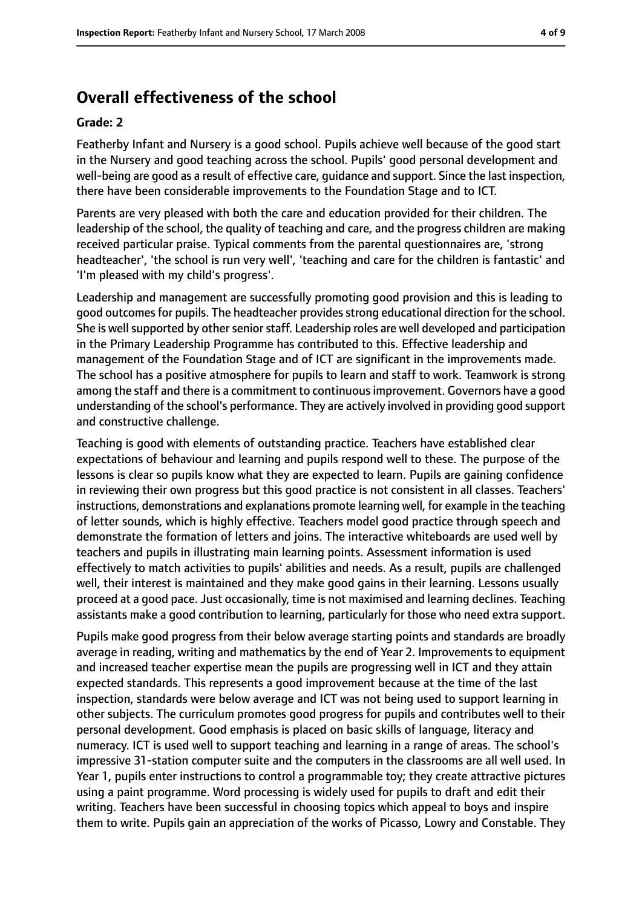# **Overall effectiveness of the school**

#### **Grade: 2**

Featherby Infant and Nursery is a good school. Pupils achieve well because of the good start in the Nursery and good teaching across the school. Pupils' good personal development and well-being are good as a result of effective care, guidance and support. Since the last inspection, there have been considerable improvements to the Foundation Stage and to ICT.

Parents are very pleased with both the care and education provided for their children. The leadership of the school, the quality of teaching and care, and the progress children are making received particular praise. Typical comments from the parental questionnaires are, 'strong headteacher', 'the school is run very well', 'teaching and care for the children is fantastic' and 'I'm pleased with my child's progress'.

Leadership and management are successfully promoting good provision and this is leading to good outcomesfor pupils. The headteacher providesstrong educational direction for the school. She is well supported by other senior staff. Leadership roles are well developed and participation in the Primary Leadership Programme has contributed to this. Effective leadership and management of the Foundation Stage and of ICT are significant in the improvements made. The school has a positive atmosphere for pupils to learn and staff to work. Teamwork is strong among the staff and there is a commitment to continuousimprovement. Governors have a good understanding of the school's performance. They are actively involved in providing good support and constructive challenge.

Teaching is good with elements of outstanding practice. Teachers have established clear expectations of behaviour and learning and pupils respond well to these. The purpose of the lessons is clear so pupils know what they are expected to learn. Pupils are gaining confidence in reviewing their own progress but this good practice is not consistent in all classes. Teachers' instructions, demonstrations and explanations promote learning well, for example in the teaching of letter sounds, which is highly effective. Teachers model good practice through speech and demonstrate the formation of letters and joins. The interactive whiteboards are used well by teachers and pupils in illustrating main learning points. Assessment information is used effectively to match activities to pupils' abilities and needs. As a result, pupils are challenged well, their interest is maintained and they make good gains in their learning. Lessons usually proceed at a good pace. Just occasionally, time is not maximised and learning declines. Teaching assistants make a good contribution to learning, particularly for those who need extra support.

Pupils make good progress from their below average starting points and standards are broadly average in reading, writing and mathematics by the end of Year 2. Improvements to equipment and increased teacher expertise mean the pupils are progressing well in ICT and they attain expected standards. This represents a good improvement because at the time of the last inspection, standards were below average and ICT was not being used to support learning in other subjects. The curriculum promotes good progress for pupils and contributes well to their personal development. Good emphasis is placed on basic skills of language, literacy and numeracy. ICT is used well to support teaching and learning in a range of areas. The school's impressive 31-station computer suite and the computers in the classrooms are all well used. In Year 1, pupils enter instructions to control a programmable toy; they create attractive pictures using a paint programme. Word processing is widely used for pupils to draft and edit their writing. Teachers have been successful in choosing topics which appeal to boys and inspire them to write. Pupils gain an appreciation of the works of Picasso, Lowry and Constable. They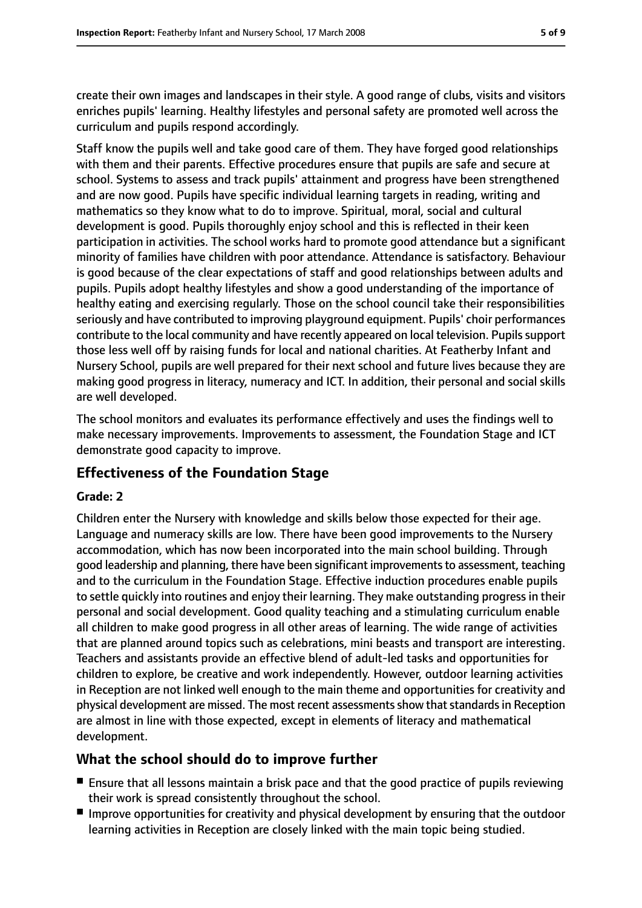create their own images and landscapes in their style. A good range of clubs, visits and visitors enriches pupils' learning. Healthy lifestyles and personal safety are promoted well across the curriculum and pupils respond accordingly.

Staff know the pupils well and take good care of them. They have forged good relationships with them and their parents. Effective procedures ensure that pupils are safe and secure at school. Systems to assess and track pupils' attainment and progress have been strengthened and are now good. Pupils have specific individual learning targets in reading, writing and mathematics so they know what to do to improve. Spiritual, moral, social and cultural development is good. Pupils thoroughly enjoy school and this is reflected in their keen participation in activities. The school works hard to promote good attendance but a significant minority of families have children with poor attendance. Attendance is satisfactory. Behaviour is good because of the clear expectations of staff and good relationships between adults and pupils. Pupils adopt healthy lifestyles and show a good understanding of the importance of healthy eating and exercising regularly. Those on the school council take their responsibilities seriously and have contributed to improving playground equipment. Pupils' choir performances contribute to the local community and have recently appeared on local television. Pupils support those less well off by raising funds for local and national charities. At Featherby Infant and Nursery School, pupils are well prepared for their next school and future lives because they are making good progress in literacy, numeracy and ICT. In addition, their personal and social skills are well developed.

The school monitors and evaluates its performance effectively and uses the findings well to make necessary improvements. Improvements to assessment, the Foundation Stage and ICT demonstrate good capacity to improve.

# **Effectiveness of the Foundation Stage**

### **Grade: 2**

Children enter the Nursery with knowledge and skills below those expected for their age. Language and numeracy skills are low. There have been good improvements to the Nursery accommodation, which has now been incorporated into the main school building. Through good leadership and planning, there have been significant improvementsto assessment, teaching and to the curriculum in the Foundation Stage. Effective induction procedures enable pupils to settle quickly into routines and enjoy their learning. They make outstanding progressin their personal and social development. Good quality teaching and a stimulating curriculum enable all children to make good progress in all other areas of learning. The wide range of activities that are planned around topics such as celebrations, mini beasts and transport are interesting. Teachers and assistants provide an effective blend of adult-led tasks and opportunities for children to explore, be creative and work independently. However, outdoor learning activities in Reception are not linked well enough to the main theme and opportunities for creativity and physical development are missed. The most recent assessments show that standards in Reception are almost in line with those expected, except in elements of literacy and mathematical development.

# **What the school should do to improve further**

- Ensure that all lessons maintain a brisk pace and that the good practice of pupils reviewing their work is spread consistently throughout the school.
- Improve opportunities for creativity and physical development by ensuring that the outdoor learning activities in Reception are closely linked with the main topic being studied.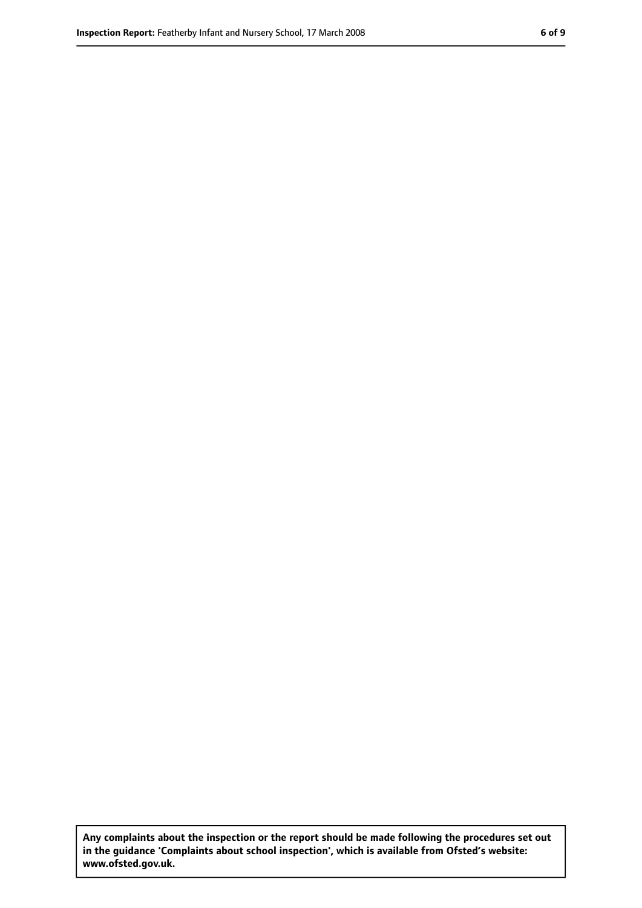**Any complaints about the inspection or the report should be made following the procedures set out in the guidance 'Complaints about school inspection', which is available from Ofsted's website: www.ofsted.gov.uk.**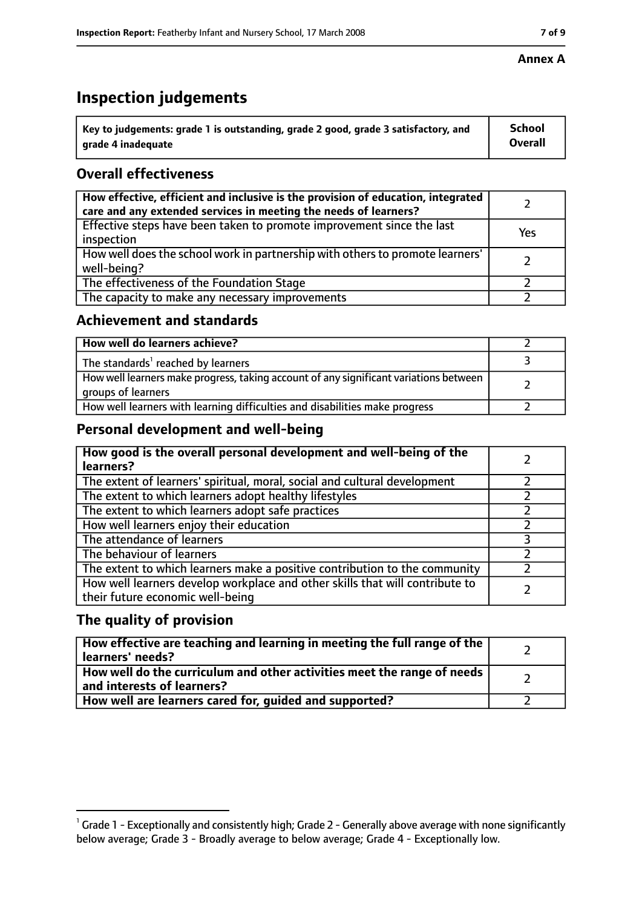# **Inspection judgements**

| $^{\backprime}$ Key to judgements: grade 1 is outstanding, grade 2 good, grade 3 satisfactory, and | <b>School</b>  |
|----------------------------------------------------------------------------------------------------|----------------|
| arade 4 inadequate                                                                                 | <b>Overall</b> |

# **Overall effectiveness**

| How effective, efficient and inclusive is the provision of education, integrated<br>care and any extended services in meeting the needs of learners? |     |
|------------------------------------------------------------------------------------------------------------------------------------------------------|-----|
| Effective steps have been taken to promote improvement since the last<br>inspection                                                                  | Yes |
| How well does the school work in partnership with others to promote learners'<br>well-being?                                                         |     |
| The effectiveness of the Foundation Stage                                                                                                            |     |
| The capacity to make any necessary improvements                                                                                                      |     |

### **Achievement and standards**

| How well do learners achieve?                                                                               |  |
|-------------------------------------------------------------------------------------------------------------|--|
| The standards <sup>1</sup> reached by learners                                                              |  |
| How well learners make progress, taking account of any significant variations between<br>groups of learners |  |
| How well learners with learning difficulties and disabilities make progress                                 |  |

# **Personal development and well-being**

| How good is the overall personal development and well-being of the<br>learners?                                  |  |
|------------------------------------------------------------------------------------------------------------------|--|
| The extent of learners' spiritual, moral, social and cultural development                                        |  |
| The extent to which learners adopt healthy lifestyles                                                            |  |
| The extent to which learners adopt safe practices                                                                |  |
| How well learners enjoy their education                                                                          |  |
| The attendance of learners                                                                                       |  |
| The behaviour of learners                                                                                        |  |
| The extent to which learners make a positive contribution to the community                                       |  |
| How well learners develop workplace and other skills that will contribute to<br>their future economic well-being |  |

# **The quality of provision**

| How effective are teaching and learning in meeting the full range of the<br>learners' needs?          |  |
|-------------------------------------------------------------------------------------------------------|--|
| How well do the curriculum and other activities meet the range of needs<br>and interests of learners? |  |
| How well are learners cared for, guided and supported?                                                |  |

 $^1$  Grade 1 - Exceptionally and consistently high; Grade 2 - Generally above average with none significantly below average; Grade 3 - Broadly average to below average; Grade 4 - Exceptionally low.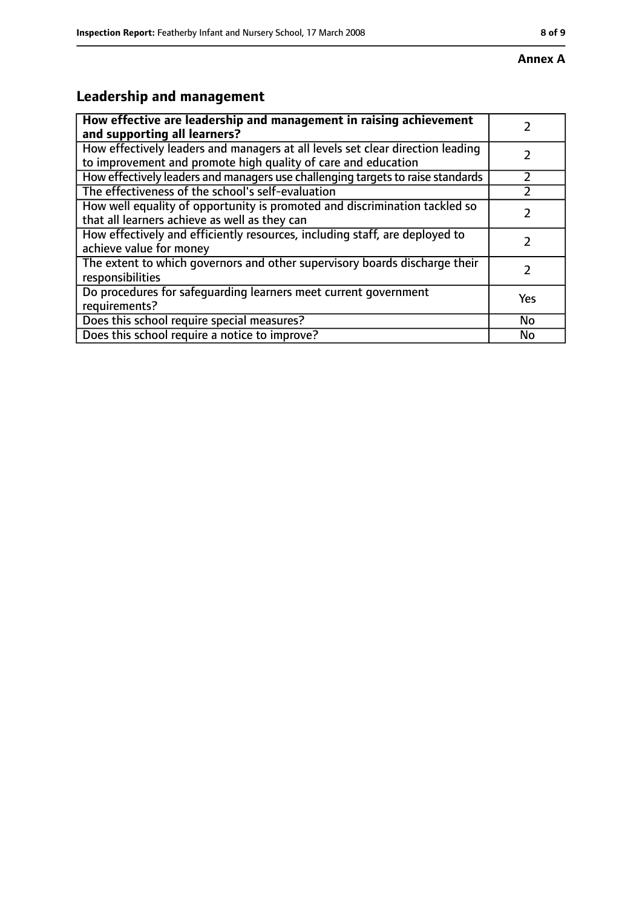# **Leadership and management**

| How effective are leadership and management in raising achievement<br>and supporting all learners?                                              |     |
|-------------------------------------------------------------------------------------------------------------------------------------------------|-----|
| How effectively leaders and managers at all levels set clear direction leading<br>to improvement and promote high quality of care and education |     |
| How effectively leaders and managers use challenging targets to raise standards                                                                 |     |
| The effectiveness of the school's self-evaluation                                                                                               |     |
| How well equality of opportunity is promoted and discrimination tackled so<br>that all learners achieve as well as they can                     |     |
| How effectively and efficiently resources, including staff, are deployed to<br>achieve value for money                                          |     |
| The extent to which governors and other supervisory boards discharge their<br>responsibilities                                                  |     |
| Do procedures for safequarding learners meet current government<br>requirements?                                                                | Yes |
| Does this school require special measures?                                                                                                      | No  |
| Does this school require a notice to improve?                                                                                                   | No  |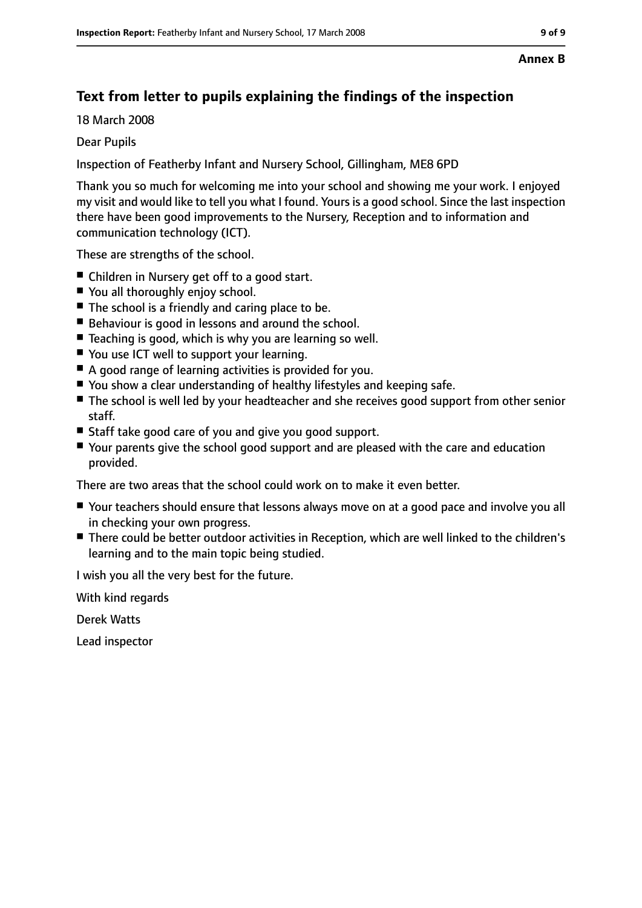#### **Annex B**

# **Text from letter to pupils explaining the findings of the inspection**

18 March 2008

### Dear Pupils

Inspection of Featherby Infant and Nursery School, Gillingham, ME8 6PD

Thank you so much for welcoming me into your school and showing me your work. I enjoyed my visit and would like to tell you what I found. Yours is a good school. Since the last inspection there have been good improvements to the Nursery, Reception and to information and communication technology (ICT).

These are strengths of the school.

- Children in Nursery get off to a good start.
- You all thoroughly enjoy school.
- The school is a friendly and caring place to be.
- Behaviour is good in lessons and around the school.
- Teaching is good, which is why you are learning so well.
- You use ICT well to support your learning.
- A good range of learning activities is provided for you.
- You show a clear understanding of healthy lifestyles and keeping safe.
- The school is well led by your headteacher and she receives good support from other senior staff.
- Staff take good care of you and give you good support.
- Your parents give the school good support and are pleased with the care and education provided.

There are two areas that the school could work on to make it even better.

- Your teachers should ensure that lessons always move on at a good pace and involve you all in checking your own progress.
- There could be better outdoor activities in Reception, which are well linked to the children's learning and to the main topic being studied.

I wish you all the very best for the future.

With kind regards

Derek Watts

Lead inspector